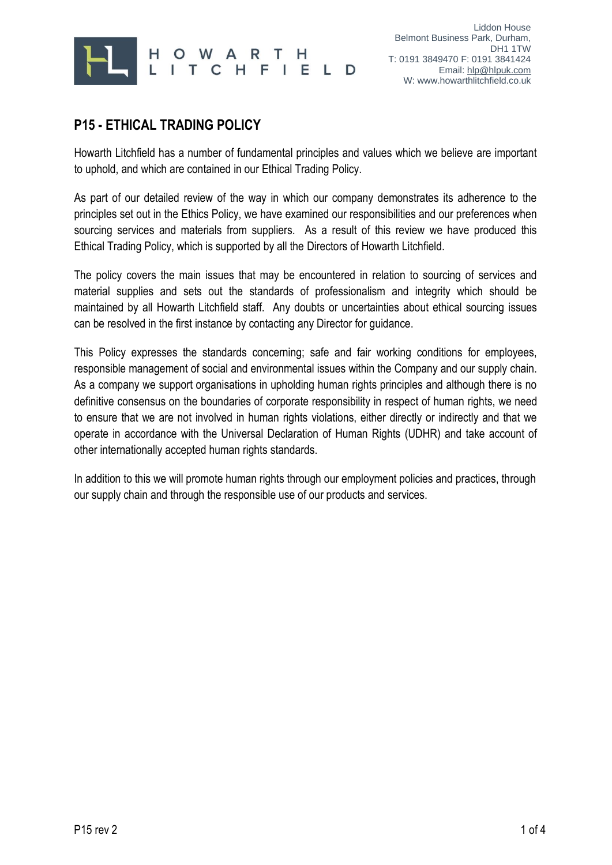

# **P15 - ETHICAL TRADING POLICY**

Howarth Litchfield has a number of fundamental principles and values which we believe are important to uphold, and which are contained in our Ethical Trading Policy.

As part of our detailed review of the way in which our company demonstrates its adherence to the principles set out in the Ethics Policy, we have examined our responsibilities and our preferences when sourcing services and materials from suppliers. As a result of this review we have produced this Ethical Trading Policy, which is supported by all the Directors of Howarth Litchfield.

The policy covers the main issues that may be encountered in relation to sourcing of services and material supplies and sets out the standards of professionalism and integrity which should be maintained by all Howarth Litchfield staff. Any doubts or uncertainties about ethical sourcing issues can be resolved in the first instance by contacting any Director for guidance.

This Policy expresses the standards concerning; safe and fair working conditions for employees, responsible management of social and environmental issues within the Company and our supply chain. As a company we support organisations in upholding human rights principles and although there is no definitive consensus on the boundaries of corporate responsibility in respect of human rights, we need to ensure that we are not involved in human rights violations, either directly or indirectly and that we operate in accordance with the Universal Declaration of Human Rights (UDHR) and take account of other internationally accepted human rights standards.

In addition to this we will promote human rights through our employment policies and practices, through our supply chain and through the responsible use of our products and services.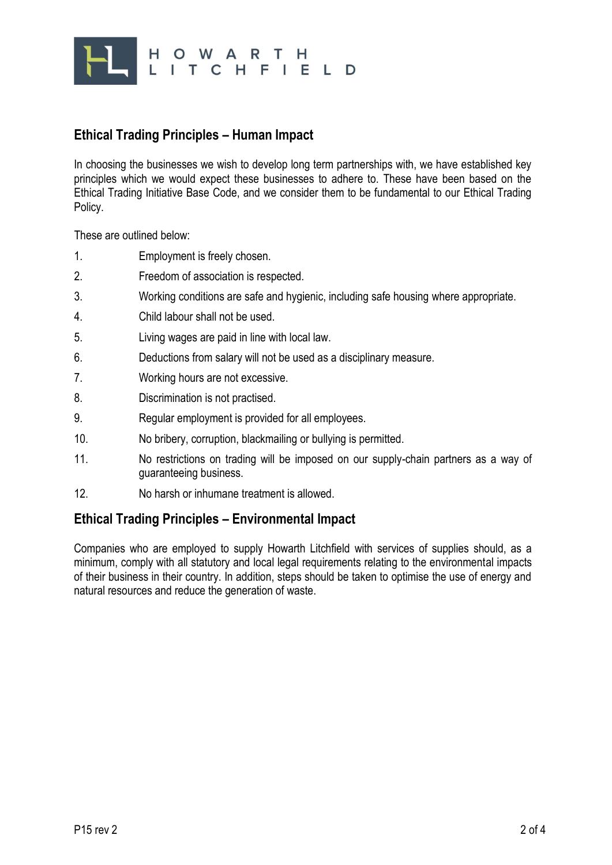

#### **Ethical Trading Principles – Human Impact**

In choosing the businesses we wish to develop long term partnerships with, we have established key principles which we would expect these businesses to adhere to. These have been based on the Ethical Trading Initiative Base Code, and we consider them to be fundamental to our Ethical Trading Policy.

These are outlined below:

- 1. Employment is freely chosen.
- 2. Freedom of association is respected.
- 3. Working conditions are safe and hygienic, including safe housing where appropriate.
- 4. Child labour shall not be used.
- 5. Living wages are paid in line with local law.
- 6. Deductions from salary will not be used as a disciplinary measure.
- 7. Working hours are not excessive.
- 8. Discrimination is not practised.
- 9. Regular employment is provided for all employees.
- 10. No bribery, corruption, blackmailing or bullying is permitted.
- 11. No restrictions on trading will be imposed on our supply-chain partners as a way of guaranteeing business.
- 12. No harsh or inhumane treatment is allowed.

#### **Ethical Trading Principles – Environmental Impact**

Companies who are employed to supply Howarth Litchfield with services of supplies should, as a minimum, comply with all statutory and local legal requirements relating to the environmental impacts of their business in their country. In addition, steps should be taken to optimise the use of energy and natural resources and reduce the generation of waste.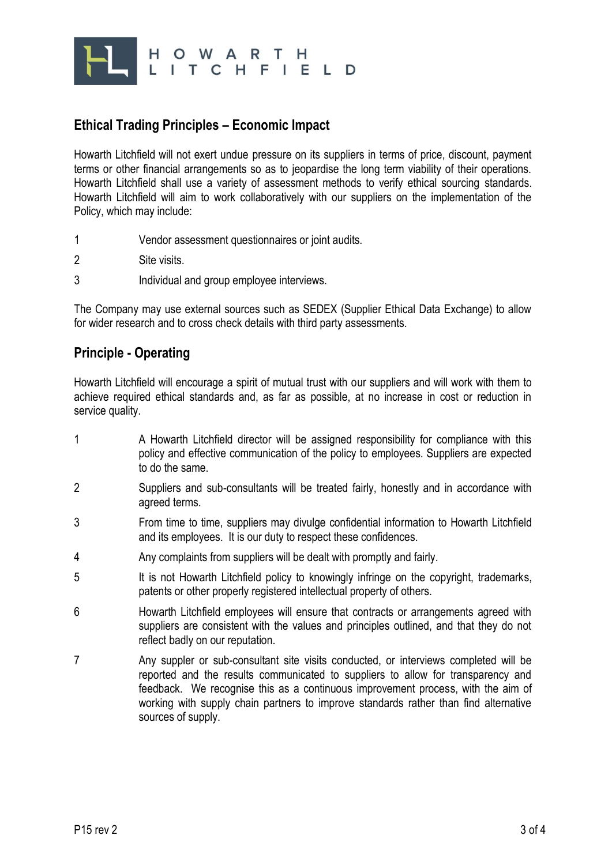

## **Ethical Trading Principles – Economic Impact**

Howarth Litchfield will not exert undue pressure on its suppliers in terms of price, discount, payment terms or other financial arrangements so as to jeopardise the long term viability of their operations. Howarth Litchfield shall use a variety of assessment methods to verify ethical sourcing standards. Howarth Litchfield will aim to work collaboratively with our suppliers on the implementation of the Policy, which may include:

- 1 Vendor assessment questionnaires or joint audits.
- 2 Site visits.
- 3 Individual and group employee interviews.

The Company may use external sources such as SEDEX (Supplier Ethical Data Exchange) to allow for wider research and to cross check details with third party assessments.

### **Principle - Operating**

Howarth Litchfield will encourage a spirit of mutual trust with our suppliers and will work with them to achieve required ethical standards and, as far as possible, at no increase in cost or reduction in service quality.

- 1 A Howarth Litchfield director will be assigned responsibility for compliance with this policy and effective communication of the policy to employees. Suppliers are expected to do the same.
- 2 Suppliers and sub-consultants will be treated fairly, honestly and in accordance with agreed terms.
- 3 From time to time, suppliers may divulge confidential information to Howarth Litchfield and its employees. It is our duty to respect these confidences.
- 4 Any complaints from suppliers will be dealt with promptly and fairly.
- 5 It is not Howarth Litchfield policy to knowingly infringe on the copyright, trademarks, patents or other properly registered intellectual property of others.
- 6 Howarth Litchfield employees will ensure that contracts or arrangements agreed with suppliers are consistent with the values and principles outlined, and that they do not reflect badly on our reputation.
- 7 Any suppler or sub-consultant site visits conducted, or interviews completed will be reported and the results communicated to suppliers to allow for transparency and feedback. We recognise this as a continuous improvement process, with the aim of working with supply chain partners to improve standards rather than find alternative sources of supply.